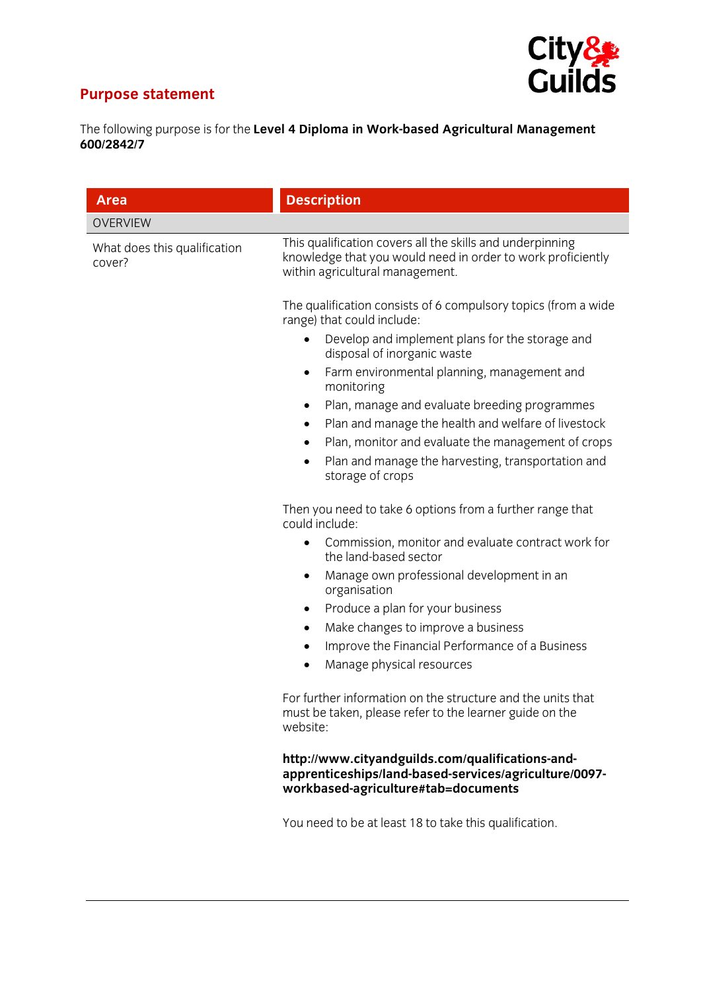## **Purpose statement**



The following purpose is for the **Level 4 Diploma in Work-based Agricultural Management 600/2842/7** 

| <b>Area</b>                            | <b>Description</b>                                                                                                                                          |
|----------------------------------------|-------------------------------------------------------------------------------------------------------------------------------------------------------------|
| <b>OVERVIEW</b>                        |                                                                                                                                                             |
| What does this qualification<br>cover? | This qualification covers all the skills and underpinning<br>knowledge that you would need in order to work proficiently<br>within agricultural management. |
|                                        | The qualification consists of 6 compulsory topics (from a wide<br>range) that could include:                                                                |
|                                        | Develop and implement plans for the storage and<br>$\bullet$<br>disposal of inorganic waste                                                                 |
|                                        | Farm environmental planning, management and<br>$\bullet$<br>monitoring                                                                                      |
|                                        | Plan, manage and evaluate breeding programmes<br>$\bullet$<br>Plan and manage the health and welfare of livestock<br>٠                                      |
|                                        | Plan, monitor and evaluate the management of crops<br>$\bullet$<br>Plan and manage the harvesting, transportation and<br>$\bullet$<br>storage of crops      |
|                                        | Then you need to take 6 options from a further range that<br>could include:                                                                                 |
|                                        | Commission, monitor and evaluate contract work for<br>$\bullet$<br>the land-based sector                                                                    |
|                                        | Manage own professional development in an<br>٠<br>organisation                                                                                              |
|                                        | Produce a plan for your business<br>٠                                                                                                                       |
|                                        | Make changes to improve a business<br>٠                                                                                                                     |
|                                        | Improve the Financial Performance of a Business<br>$\bullet$<br>Manage physical resources<br>$\bullet$                                                      |
|                                        | For further information on the structure and the units that<br>must be taken, please refer to the learner guide on the<br>website:                          |
|                                        | http://www.cityandguilds.com/qualifications-and-<br>apprenticeships/land-based-services/agriculture/0097-<br>workbased-agriculture#tab=documents            |
|                                        | You need to be at least 18 to take this qualification.                                                                                                      |